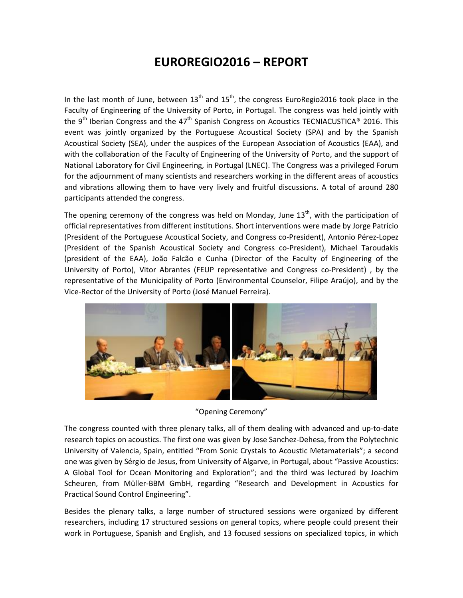## **EUROREGIO2016 – REPORT**

In the last month of June, between  $13<sup>th</sup>$  and  $15<sup>th</sup>$ , the congress EuroRegio2016 took place in the Faculty of Engineering of the University of Porto, in Portugal. The congress was held jointly with the 9<sup>th</sup> Iberian Congress and the 47<sup>th</sup> Spanish Congress on Acoustics TECNIACUSTICA<sup>®</sup> 2016. This event was jointly organized by the Portuguese Acoustical Society (SPA) and by the Spanish Acoustical Society (SEA), under the auspices of the European Association of Acoustics (EAA), and with the collaboration of the Faculty of Engineering of the University of Porto, and the support of National Laboratory for Civil Engineering, in Portugal (LNEC). The Congress was a privileged Forum for the adjournment of many scientists and researchers working in the different areas of acoustics and vibrations allowing them to have very lively and fruitful discussions. A total of around 280 participants attended the congress.

The opening ceremony of the congress was held on Monday, June  $13<sup>th</sup>$ , with the participation of official representatives from different institutions. Short interventions were made by Jorge Patrício (President of the Portuguese Acoustical Society, and Congress co-President), Antonio Pérez-Lopez (President of the Spanish Acoustical Society and Congress co-President), Michael Taroudakis (president of the EAA), João Falcão e Cunha (Director of the Faculty of Engineering of the University of Porto), Vitor Abrantes (FEUP representative and Congress co-President) , by the representative of the Municipality of Porto (Environmental Counselor, Filipe Araújo), and by the Vice-Rector of the University of Porto (José Manuel Ferreira).



"Opening Ceremony"

The congress counted with three plenary talks, all of them dealing with advanced and up-to-date research topics on acoustics. The first one was given by Jose Sanchez-Dehesa, from the Polytechnic University of Valencia, Spain, entitled "From Sonic Crystals to Acoustic Metamaterials"; a second one was given by Sérgio de Jesus, from University of Algarve, in Portugal, about "Passive Acoustics: A Global Tool for Ocean Monitoring and Exploration"; and the third was lectured by Joachim Scheuren, from Müller-BBM GmbH, regarding "Research and Development in Acoustics for Practical Sound Control Engineering".

Besides the plenary talks, a large number of structured sessions were organized by different researchers, including 17 structured sessions on general topics, where people could present their work in Portuguese, Spanish and English, and 13 focused sessions on specialized topics, in which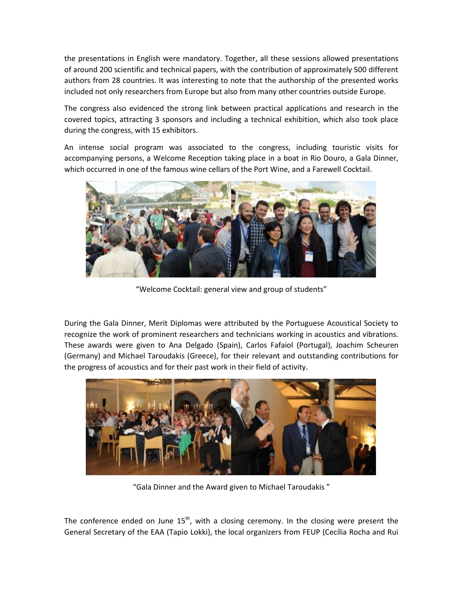the presentations in English were mandatory. Together, all these sessions allowed presentations of around 200 scientific and technical papers, with the contribution of approximately 500 different authors from 28 countries. It was interesting to note that the authorship of the presented works included not only researchers from Europe but also from many other countries outside Europe.

The congress also evidenced the strong link between practical applications and research in the covered topics, attracting 3 sponsors and including a technical exhibition, which also took place during the congress, with 15 exhibitors.

An intense social program was associated to the congress, including touristic visits for accompanying persons, a Welcome Reception taking place in a boat in Rio Douro, a Gala Dinner, which occurred in one of the famous wine cellars of the Port Wine, and a Farewell Cocktail.



"Welcome Cocktail: general view and group of students"

During the Gala Dinner, Merit Diplomas were attributed by the Portuguese Acoustical Society to recognize the work of prominent researchers and technicians working in acoustics and vibrations. These awards were given to Ana Delgado (Spain), Carlos Fafaiol (Portugal), Joachim Scheuren (Germany) and Michael Taroudakis (Greece), for their relevant and outstanding contributions for the progress of acoustics and for their past work in their field of activity.



"Gala Dinner and the Award given to Michael Taroudakis "

The conference ended on June  $15<sup>th</sup>$ , with a closing ceremony. In the closing were present the General Secretary of the EAA (Tapio Lokki), the local organizers from FEUP (Cecília Rocha and Rui